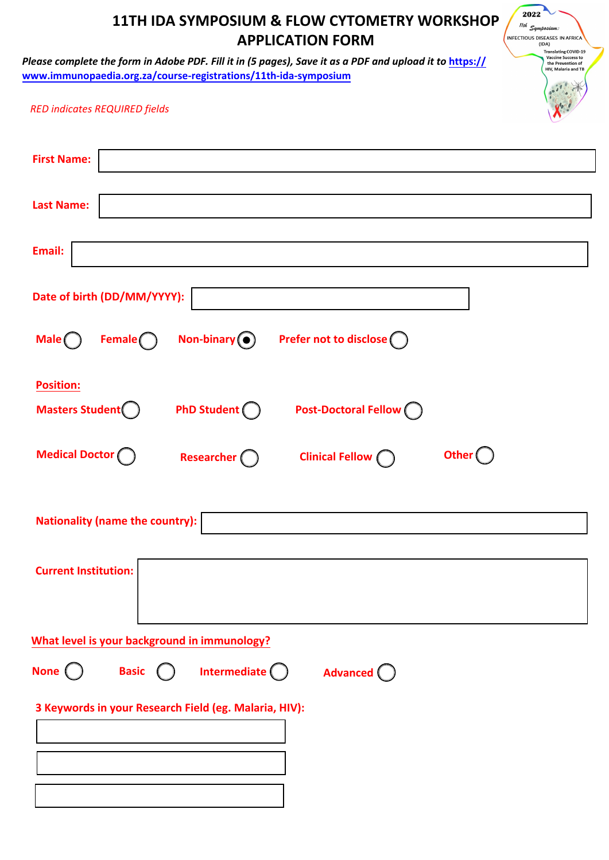| 2022<br>11TH IDA SYMPOSIUM & FLOW CYTOMETRY WORKSHOP<br>$\textit{11th} \textit{ \texttt{Symposium:} }$<br><b>APPLICATION FORM</b><br><b>INFECTIOUS DISEASES IN AFRICA</b><br>(IDA)<br><b>Translating COVID-19</b><br><b>Vaccine Success to</b><br>Please complete the form in Adobe PDF. Fill it in (5 pages), Save it as a PDF and upload it to https://<br>the Prevention of<br>HIV, Malaria and TB<br>www.immunopaedia.org.za/course-registrations/11th-ida-symposium |
|--------------------------------------------------------------------------------------------------------------------------------------------------------------------------------------------------------------------------------------------------------------------------------------------------------------------------------------------------------------------------------------------------------------------------------------------------------------------------|
| <b>RED indicates REQUIRED fields</b>                                                                                                                                                                                                                                                                                                                                                                                                                                     |
| <b>First Name:</b>                                                                                                                                                                                                                                                                                                                                                                                                                                                       |
| <b>Last Name:</b>                                                                                                                                                                                                                                                                                                                                                                                                                                                        |
| Email:                                                                                                                                                                                                                                                                                                                                                                                                                                                                   |
| Date of birth (DD/MM/YYYY):                                                                                                                                                                                                                                                                                                                                                                                                                                              |
| Prefer not to disclose <sup>(</sup><br>Non-binary $\odot$<br>Male $\bigcap$<br>Female <sub>(</sub>                                                                                                                                                                                                                                                                                                                                                                       |
| <b>Position:</b><br><b>Masters Student</b><br>PhD Student (<br><b>Post-Doctoral Fellow</b> (                                                                                                                                                                                                                                                                                                                                                                             |
| <b>Medical Doctor (</b><br><b>Other</b><br><b>Clinical Fellow</b> (<br>Researcher (                                                                                                                                                                                                                                                                                                                                                                                      |
| Nationality (name the country):                                                                                                                                                                                                                                                                                                                                                                                                                                          |
| <b>Current Institution:</b>                                                                                                                                                                                                                                                                                                                                                                                                                                              |
| What level is your background in immunology?                                                                                                                                                                                                                                                                                                                                                                                                                             |
| Intermediate $\bigcirc$<br><b>Basic</b><br>None (<br>Advanced ()                                                                                                                                                                                                                                                                                                                                                                                                         |
| 3 Keywords in your Research Field (eg. Malaria, HIV):                                                                                                                                                                                                                                                                                                                                                                                                                    |
|                                                                                                                                                                                                                                                                                                                                                                                                                                                                          |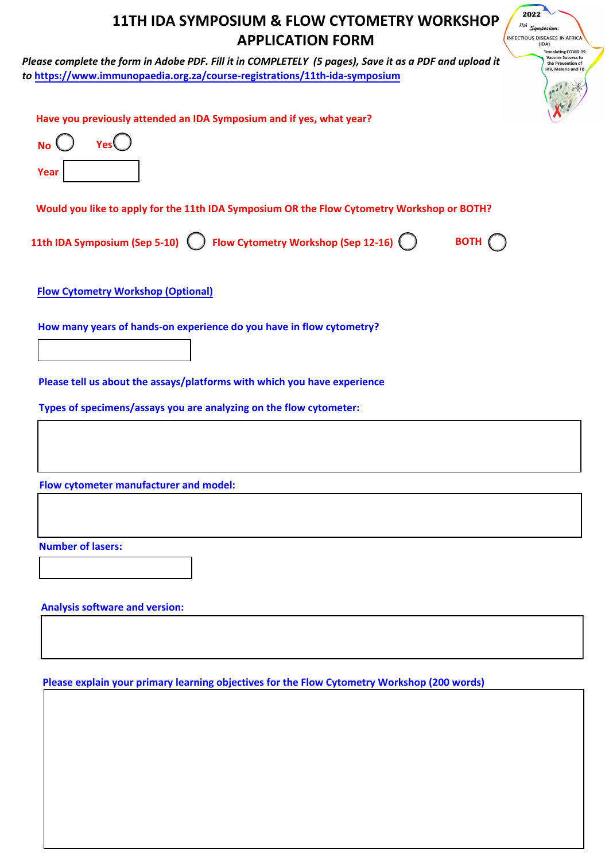| 2022<br>11TH IDA SYMPOSIUM & FLOW CYTOMETRY WORKSHOP<br><sup>11th</sup> Symposium:<br><b>APPLICATION FORM</b><br>INFECTIOUS DISEASES IN AFRICA<br>(IDA)<br><b>Translating COVID-19</b>                                                                        |
|---------------------------------------------------------------------------------------------------------------------------------------------------------------------------------------------------------------------------------------------------------------|
| <b>Vaccine Success to</b><br>Please complete the form in Adobe PDF. Fill it in COMPLETELY (5 pages), Save it as a PDF and upload it<br>the Prevention of<br>HIV, Malaria and TB<br>to https://www.immunopaedia.org.za/course-registrations/11th-ida-symposium |
| Have you previously attended an IDA Symposium and if yes, what year?<br><b>No</b><br>Year                                                                                                                                                                     |
| Would you like to apply for the 11th IDA Symposium OR the Flow Cytometry Workshop or BOTH?                                                                                                                                                                    |
| 11th IDA Symposium (Sep 5-10) ( Flow Cytometry Workshop (Sep 12-16) ( )<br>BOTH (                                                                                                                                                                             |
| <b>Flow Cytometry Workshop (Optional)</b>                                                                                                                                                                                                                     |
| How many years of hands-on experience do you have in flow cytometry?                                                                                                                                                                                          |
| Please tell us about the assays/platforms with which you have experience                                                                                                                                                                                      |
| Types of specimens/assays you are analyzing on the flow cytometer:                                                                                                                                                                                            |
|                                                                                                                                                                                                                                                               |
| Flow cytometer manufacturer and model:                                                                                                                                                                                                                        |
|                                                                                                                                                                                                                                                               |
| <b>Number of lasers:</b>                                                                                                                                                                                                                                      |
| <b>Analysis software and version:</b>                                                                                                                                                                                                                         |

**Please explain your primary learning objectives for the Flow Cytometry Workshop (200 words)**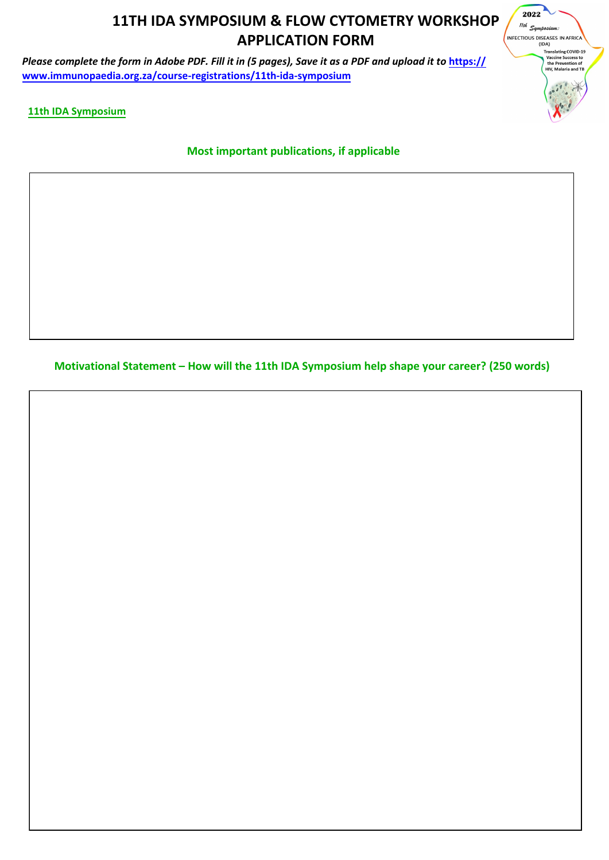## **11TH IDA SYMPOSIUM & FLOW CYTOMETRY WORKSHOP APPLICATION FORM**

*Please complete the form in Adobe PDF. Fill it in (5 pages), Save it as a PDF and upload it to* **https:// www.immunopaedia.org.za/course-registrations/11th-ida-symposium**

2022 .<br>11th Symposium: INFECTIOUS DISEASES IN AFRICA Translating COVID-19<br>Vaccine Success to<br>the Prevention of<br>HIV, Malaria and TB  $\ddotsc$ 

**11th IDA Symposium**

**Most important publications, if applicable** 

**Motivational Statement – How will the 11th IDA Symposium help shape your career? (250 words)**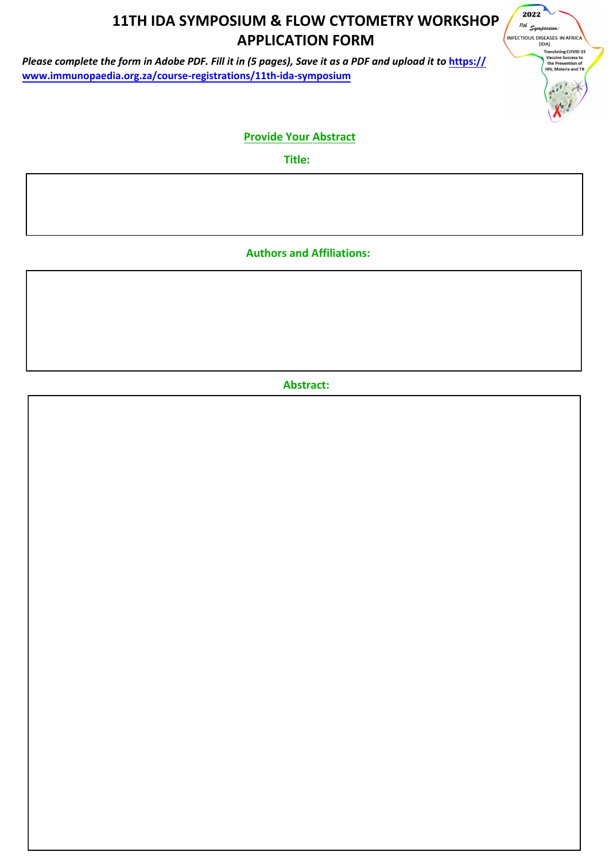## **11TH IDA SYMPOSIUM & FLOW CYTOMETRY WORKSHOP APPLICATION FORM**

*Please complete the form in Adobe PDF. Fill it in (5 pages), Save it as a PDF and upload it to* **https:// www.immunopaedia.org.za/course-registrations/11th-ida-symposium**



## **Provide Your Abstract**

**Title:** 

**Authors and Affiliations:** 

**Abstract:**